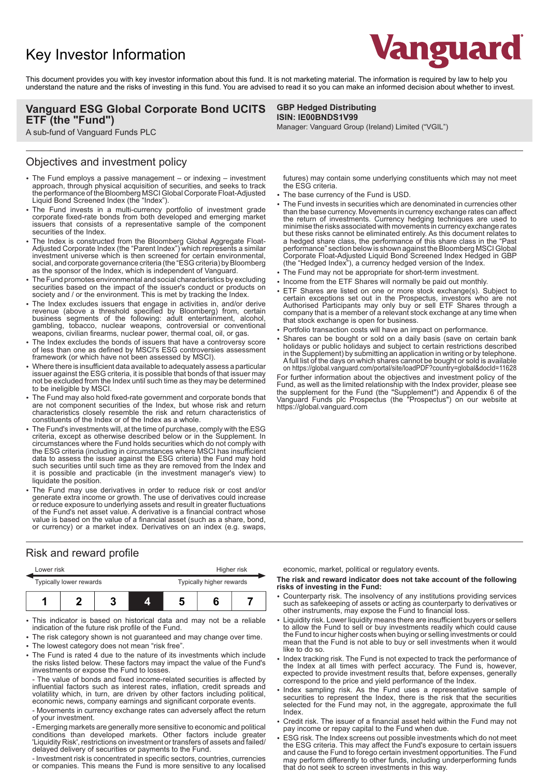# Key Investor Information



This document provides you with key investor information about this fund. It is not marketing material. The information is required by law to help you understand the nature and the risks of investing in this fund. You are advised to read it so you can make an informed decision about whether to invest.

## **Vanguard ESG Global Corporate Bond UCITS ETF (the "Fund")**

A sub-fund of Vanguard Funds PLC

### **GBP Hedged Distributing ISIN: IE00BNDS1V99**

Manager: Vanguard Group (Ireland) Limited ("VGIL")

## Objectives and investment policy

- The Fund employs a passive management or indexing investment approach, through physical acquisition of securities, and seeks to track the performance of the Bloomberg MSCI Global Corporate Float-Adjusted Liquid Bond Screened Index (the "Index").
- The Fund invests in a multi-currency portfolio of investment grade corporate fixed-rate bonds from both developed and emerging market issuers that consists of a representative sample of the component securities of the Index.
- The Index is constructed from the Bloomberg Global Aggregate Float-Adjusted Corporate Index (the "Parent Index") which represents a similar investment universe which is then screened for certain environmental, social, and corporate governance criteria (the "ESG criteria) by Bloomberg as the sponsor of the Index, which is independent of Vanguard.
- The Fund promotes environmental and social characteristics by excluding securities based on the impact of the issuer's conduct or products on society and / or the environment. This is met by tracking the Index.
- The Index excludes issuers that engage in activities in, and/or derive revenue (above a threshold specified by Bloomberg) from, certain business segments of the following: adult entertainment, alcohol, gambling, tobacco, nuclear weapons, controversial or conventional weapons, civilian firearms, nuclear power, thermal coal, oil, or gas.
- 2 The Index excludes the bonds of issuers that have a controversy score of less than one as defined by MSCI's ESG controversies assessment framework (or which have not been assessed by MSCI).
- Where there is insufficient data available to adequately assess a particular issuer against the ESG criteria, it is possible that bonds of that issuer may not be excluded from the Index until such time as they may be determined to be ineligible by MSCI.
- The Fund may also hold fixed-rate government and corporate bonds that are not component securities of the Index, but whose risk and return characteristics closely resemble the risk and return characteristics of constituents of the Index or of the Index as a whole.
- 2 The Fund's investments will, at the time of purchase, comply with the ESG criteria, except as otherwise described below or in the Supplement. In circumstances where the Fund holds securities which do not comply with the ESG criteria (including in circumstances where MSCI has insufficient data to assess the issuer against the ESG criteria) the Fund may hold such securities until such time as they are removed from the Index and it is possible and practicable (in the investment manager's view) to liquidate the position.
- The Fund may use derivatives in order to reduce risk or cost and/or generate extra income or growth. The use of derivatives could increase or reduce exposure to underlying assets and result in greater fluctuations of the Fund's net asset value. A derivative is a financial contract whose value is based on the value of a financial asset (such as a share, bond, or currency) or a market index. Derivatives on an index (e.g. swaps,

# the ESG criteria. • The base currency of the Fund is USD.

• The Fund invests in securities which are denominated in currencies other than the base currency. Movements in currency exchange rates can affect the return of investments. Currency hedging techniques are used to minimise the risks associated with movements in currency exchange rates but these risks cannot be eliminated entirely. As this document relates to a hedged share class, the performance of this share class in the "Past performance" section below is shown against the Bloomberg MSCI Global Corporate Float-Adjusted Liquid Bond Screened Index Hedged in GBP (the "Hedged Index"), a currency hedged version of the Index.

futures) may contain some underlying constituents which may not meet

- The Fund may not be appropriate for short-term investment.
- Income from the ETF Shares will normally be paid out monthly.
- ETF Shares are listed on one or more stock exchange(s). Subject to certain exceptions set out in the Prospectus, investors who are not Authorised Participants may only buy or sell ETF Shares through a company that is a member of a relevant stock exchange at any time when that stock exchange is open for business.
- Portfolio transaction costs will have an impact on performance.
- Shares can be bought or sold on a daily basis (save on certain bank holidays or public holidays and subject to certain restrictions described in the Supplement) by submitting an application in writing or by telephone. A full list of the days on which shares cannot be bought or sold is available on https://global.vanguard.com/portal/site/loadPDF?country=global&docId=11628

For further information about the objectives and investment policy of the Fund, as well as the limited relationship with the Index provider, please see the supplement for the Fund (the "Supplement") and Appendix 6 of the Vanguard Funds plc Prospectus (the "Prospectus") on our website at https://global.vanguard.com

# Risk and reward profile

|                         | Lower risk |  |  |                          | Higher risk |  |  |
|-------------------------|------------|--|--|--------------------------|-------------|--|--|
| Typically lower rewards |            |  |  | Typically higher rewards |             |  |  |
|                         |            |  |  |                          |             |  |  |

This indicator is based on historical data and may not be a reliable indication of the future risk profile of the Fund.

- The risk category shown is not guaranteed and may change over time. The lowest category does not mean "risk free".
- The Fund is rated 4 due to the nature of its investments which include the risks listed below. These factors may impact the value of the Fund's investments or expose the Fund to losses.

- The value of bonds and fixed income-related securities is affected by influential factors such as interest rates, inflation, credit spreads and volatility which, in turn, are driven by other factors including political, economic news, company earnings and significant corporate events.

- Movements in currency exchange rates can adversely affect the return of your investment.

- Emerging markets are generally more sensitive to economic and political conditions than developed markets. Other factors include greater 'Liquidity Risk', restrictions on investment or transfers of assets and failed/ delayed delivery of securities or payments to the Fund.

- Investment risk is concentrated in specific sectors, countries, currencies or companies. This means the Fund is more sensitive to any localised economic, market, political or regulatory events.

#### **The risk and reward indicator does not take account of the following risks of investing in the Fund:**

- 2 Counterparty risk. The insolvency of any institutions providing services such as safekeeping of assets or acting as counterparty to derivatives or other instruments, may expose the Fund to financial loss.
- Liquidity risk. Lower liquidity means there are insufficient buyers or sellers to allow the Fund to sell or buy investments readily which could cause the Fund to incur higher costs when buying or selling investments or could mean that the Fund is not able to buy or sell investments when it would like to do so.
- Index tracking risk. The Fund is not expected to track the performance of the Index at all times with perfect accuracy. The Fund is, however, expected to provide investment results that, before expenses, generally correspond to the price and yield performance of the Index.
- Index sampling risk. As the Fund uses a representative sample of securities to represent the Index, there is the risk that the securities selected for the Fund may not, in the aggregate, approximate the full Index.
- Credit risk. The issuer of a financial asset held within the Fund may not pay income or repay capital to the Fund when due.
- 2 ESG risk. The Index screens out possible investments which do not meet the ESG criteria. This may affect the Fund's exposure to certain issuers and cause the Fund to forego certain investment opportunities. The Fund may perform differently to other funds, including underperforming funds that do not seek to screen investments in this way.